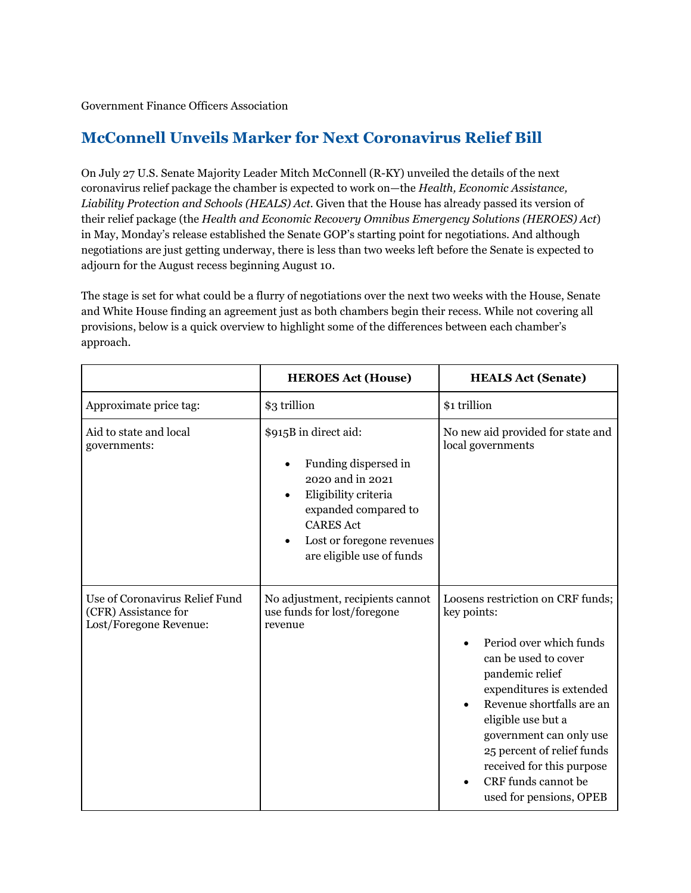Government Finance Officers Association

## **McConnell Unveils Marker for Next Coronavirus Relief Bill**

On July 27 U.S. Senate Majority Leader Mitch McConnell (R-KY) unveiled the details of the next coronavirus relief package the chamber is expected to work on—the *Health, Economic Assistance, Liability Protection and Schools (HEALS) Act.* Given that the House has already passed its version of their relief package (the *Health and Economic Recovery Omnibus Emergency Solutions (HEROES) Act*) in May, Monday's release established the Senate GOP's starting point for negotiations. And although negotiations are just getting underway, there is less than two weeks left before the Senate is expected to adjourn for the August recess beginning August 10.

The stage is set for what could be a flurry of negotiations over the next two weeks with the House, Senate and White House finding an agreement just as both chambers begin their recess. While not covering all provisions, below is a quick overview to highlight some of the differences between each chamber's approach.

|                                                                                  | <b>HEROES Act (House)</b>                                                                                                                                                                       | <b>HEALS Act (Senate)</b>                                                                                                                                                                                                                                                                                                                     |
|----------------------------------------------------------------------------------|-------------------------------------------------------------------------------------------------------------------------------------------------------------------------------------------------|-----------------------------------------------------------------------------------------------------------------------------------------------------------------------------------------------------------------------------------------------------------------------------------------------------------------------------------------------|
| Approximate price tag:                                                           | \$3 trillion                                                                                                                                                                                    | \$1 trillion                                                                                                                                                                                                                                                                                                                                  |
| Aid to state and local<br>governments:                                           | \$915B in direct aid:<br>Funding dispersed in<br>2020 and in 2021<br>Eligibility criteria<br>expanded compared to<br><b>CARES</b> Act<br>Lost or foregone revenues<br>are eligible use of funds | No new aid provided for state and<br>local governments                                                                                                                                                                                                                                                                                        |
| Use of Coronavirus Relief Fund<br>(CFR) Assistance for<br>Lost/Foregone Revenue: | No adjustment, recipients cannot<br>use funds for lost/foregone<br>revenue                                                                                                                      | Loosens restriction on CRF funds;<br>key points:<br>Period over which funds<br>can be used to cover<br>pandemic relief<br>expenditures is extended<br>Revenue shortfalls are an<br>eligible use but a<br>government can only use<br>25 percent of relief funds<br>received for this purpose<br>CRF funds cannot be<br>used for pensions, OPEB |